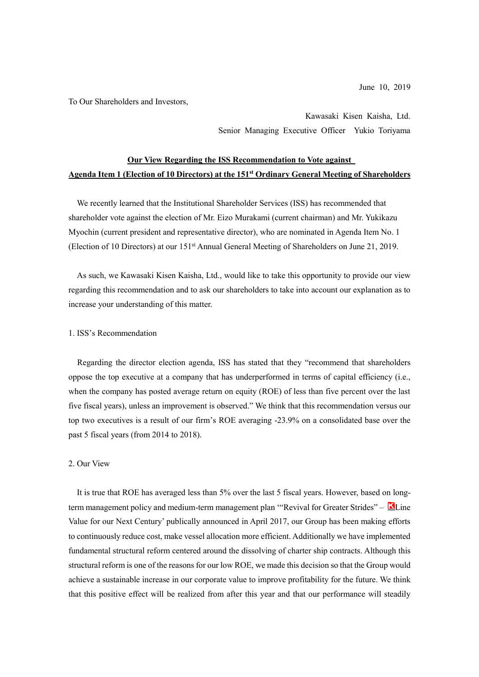To Our Shareholders and Investors,

Kawasaki Kisen Kaisha, Ltd. Senior Managing Executive Officer Yukio Toriyama

# **Our View Regarding the ISS Recommendation to Vote against Agenda Item 1 (Election of 10 Directors) at the 151st Ordinary General Meeting of Shareholders**

We recently learned that the Institutional Shareholder Services (ISS) has recommended that shareholder vote against the election of Mr. Eizo Murakami (current chairman) and Mr. Yukikazu Myochin (current president and representative director), who are nominated in Agenda Item No. 1 (Election of 10 Directors) at our 151st Annual General Meeting of Shareholders on June 21, 2019.

As such, we Kawasaki Kisen Kaisha, Ltd., would like to take this opportunity to provide our view regarding this recommendation and to ask our shareholders to take into account our explanation as to increase your understanding of this matter.

#### 1. ISS's Recommendation

Regarding the director election agenda, ISS has stated that they "recommend that shareholders oppose the top executive at a company that has underperformed in terms of capital efficiency (i.e., when the company has posted average return on equity (ROE) of less than five percent over the last five fiscal years), unless an improvement is observed." We think that this recommendation versus our top two executives is a result of our firm's ROE averaging -23.9% on a consolidated base over the past 5 fiscal years (from 2014 to 2018).

### 2. Our View

It is true that ROE has averaged less than 5% over the last 5 fiscal years. However, based on longterm management policy and medium-term management plan "Revival for Greater Strides"  $\blacksquare$  Line Value for our Next Century' publically announced in April 2017, our Group has been making efforts to continuously reduce cost, make vessel allocation more efficient. Additionally we have implemented fundamental structural reform centered around the dissolving of charter ship contracts. Although this structural reform is one of the reasons for our low ROE, we made this decision so that the Group would achieve a sustainable increase in our corporate value to improve profitability for the future. We think that this positive effect will be realized from after this year and that our performance will steadily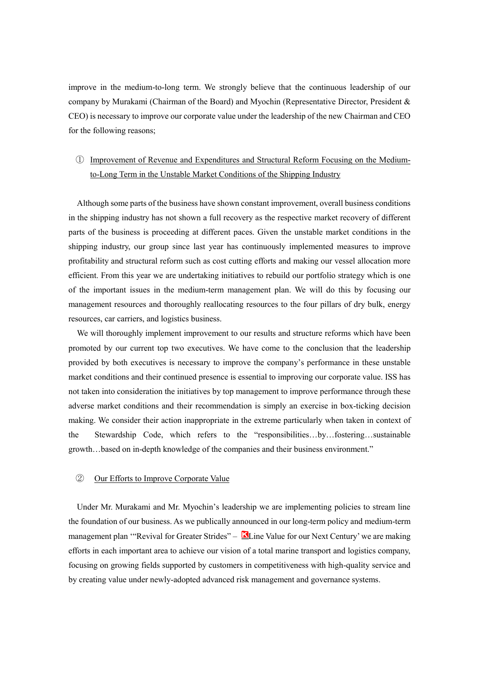improve in the medium-to-long term. We strongly believe that the continuous leadership of our company by Murakami (Chairman of the Board) and Myochin (Representative Director, President & CEO) is necessary to improve our corporate value under the leadership of the new Chairman and CEO for the following reasons;

# ① Improvement of Revenue and Expenditures and Structural Reform Focusing on the Mediumto-Long Term in the Unstable Market Conditions of the Shipping Industry

Although some parts of the business have shown constant improvement, overall business conditions in the shipping industry has not shown a full recovery as the respective market recovery of different parts of the business is proceeding at different paces. Given the unstable market conditions in the shipping industry, our group since last year has continuously implemented measures to improve profitability and structural reform such as cost cutting efforts and making our vessel allocation more efficient. From this year we are undertaking initiatives to rebuild our portfolio strategy which is one of the important issues in the medium-term management plan. We will do this by focusing our management resources and thoroughly reallocating resources to the four pillars of dry bulk, energy resources, car carriers, and logistics business.

We will thoroughly implement improvement to our results and structure reforms which have been promoted by our current top two executives. We have come to the conclusion that the leadership provided by both executives is necessary to improve the company's performance in these unstable market conditions and their continued presence is essential to improving our corporate value. ISS has not taken into consideration the initiatives by top management to improve performance through these adverse market conditions and their recommendation is simply an exercise in box-ticking decision making. We consider their action inappropriate in the extreme particularly when taken in context of the Stewardship Code, which refers to the "responsibilities…by…fostering…sustainable growth…based on in-depth knowledge of the companies and their business environment."

### ② Our Efforts to Improve Corporate Value

Under Mr. Murakami and Mr. Myochin's leadership we are implementing policies to stream line the foundation of our business. As we publically announced in our long-term policy and medium-term management plan "Revival for Greater Strides" –  $\blacksquare$  Line Value for our Next Century' we are making efforts in each important area to achieve our vision of a total marine transport and logistics company, focusing on growing fields supported by customers in competitiveness with high-quality service and by creating value under newly-adopted advanced risk management and governance systems.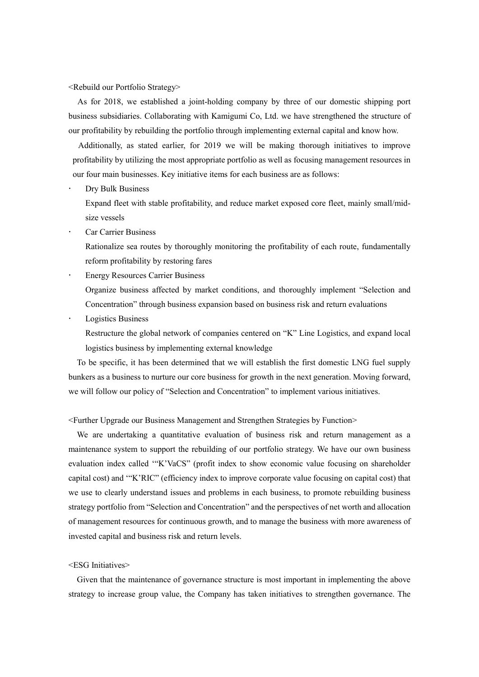<Rebuild our Portfolio Strategy>

As for 2018, we established a joint-holding company by three of our domestic shipping port business subsidiaries. Collaborating with Kamigumi Co, Ltd. we have strengthened the structure of our profitability by rebuilding the portfolio through implementing external capital and know how.

Additionally, as stated earlier, for 2019 we will be making thorough initiatives to improve profitability by utilizing the most appropriate portfolio as well as focusing management resources in our four main businesses. Key initiative items for each business are as follows:

Dry Bulk Business

Expand fleet with stable profitability, and reduce market exposed core fleet, mainly small/midsize vessels

Car Carrier Business

Rationalize sea routes by thoroughly monitoring the profitability of each route, fundamentally reform profitability by restoring fares

 Energy Resources Carrier Business Organize business affected by market conditions, and thoroughly implement "Selection and

Concentration" through business expansion based on business risk and return evaluations

Logistics Business

Restructure the global network of companies centered on "K" Line Logistics, and expand local logistics business by implementing external knowledge

To be specific, it has been determined that we will establish the first domestic LNG fuel supply bunkers as a business to nurture our core business for growth in the next generation. Moving forward, we will follow our policy of "Selection and Concentration" to implement various initiatives.

<Further Upgrade our Business Management and Strengthen Strategies by Function>

We are undertaking a quantitative evaluation of business risk and return management as a maintenance system to support the rebuilding of our portfolio strategy. We have our own business evaluation index called '"K'VaCS" (profit index to show economic value focusing on shareholder capital cost) and '"K'RIC" (efficiency index to improve corporate value focusing on capital cost) that we use to clearly understand issues and problems in each business, to promote rebuilding business strategy portfolio from "Selection and Concentration" and the perspectives of net worth and allocation of management resources for continuous growth, and to manage the business with more awareness of invested capital and business risk and return levels.

#### <ESG Initiatives>

Given that the maintenance of governance structure is most important in implementing the above strategy to increase group value, the Company has taken initiatives to strengthen governance. The